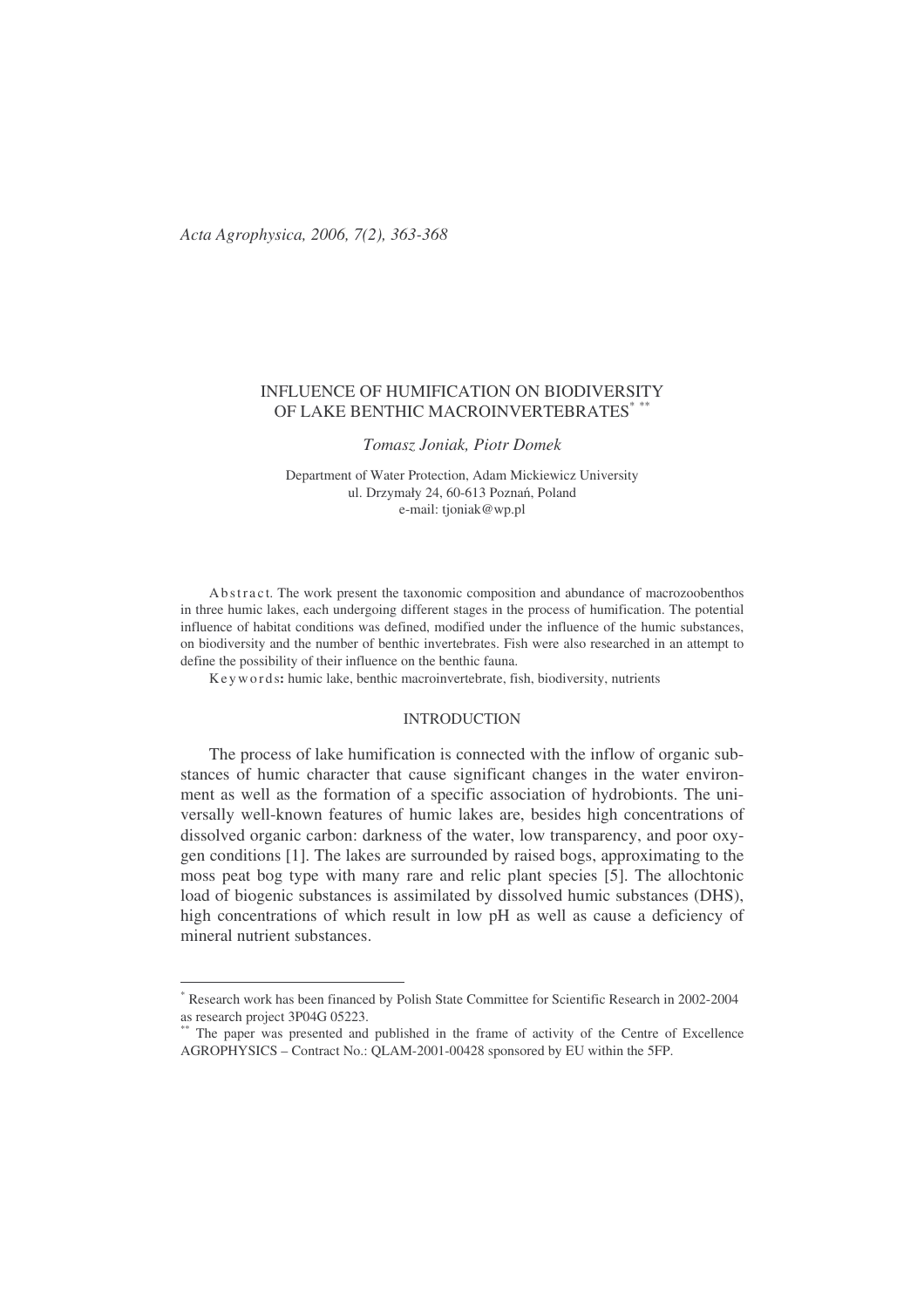# INFLUENCE OF HUMIFICATION ON BIODIVERSITY OF LAKE BENTHIC MACROINVERTEBRATES\* \*\*

*Tomasz Joniak, Piotr Domek*

Department of Water Protection, Adam Mickiewicz University ul. Drzymały 24, 60-613 Poznań, Poland e-mail: tjoniak@wp.pl

Ab stract. The work present the taxonomic composition and abundance of macrozoobenthos in three humic lakes, each undergoing different stages in the process of humification. The potential influence of habitat conditions was defined, modified under the influence of the humic substances, on biodiversity and the number of benthic invertebrates. Fish were also researched in an attempt to define the possibility of their influence on the benthic fauna.

Ke y wo r d s**:** humic lake, benthic macroinvertebrate, fish, biodiversity, nutrients

#### INTRODUCTION

The process of lake humification is connected with the inflow of organic substances of humic character that cause significant changes in the water environment as well as the formation of a specific association of hydrobionts. The universally well-known features of humic lakes are, besides high concentrations of dissolved organic carbon: darkness of the water, low transparency, and poor oxygen conditions [1]. The lakes are surrounded by raised bogs, approximating to the moss peat bog type with many rare and relic plant species [5]. The allochtonic load of biogenic substances is assimilated by dissolved humic substances (DHS), high concentrations of which result in low pH as well as cause a deficiency of mineral nutrient substances.

<sup>\*</sup> Research work has been financed by Polish State Committee for Scientific Research in 2002-2004 as research project 3P04G 05223.

The paper was presented and published in the frame of activity of the Centre of Excellence AGROPHYSICS – Contract No.: QLAM-2001-00428 sponsored by EU within the 5FP.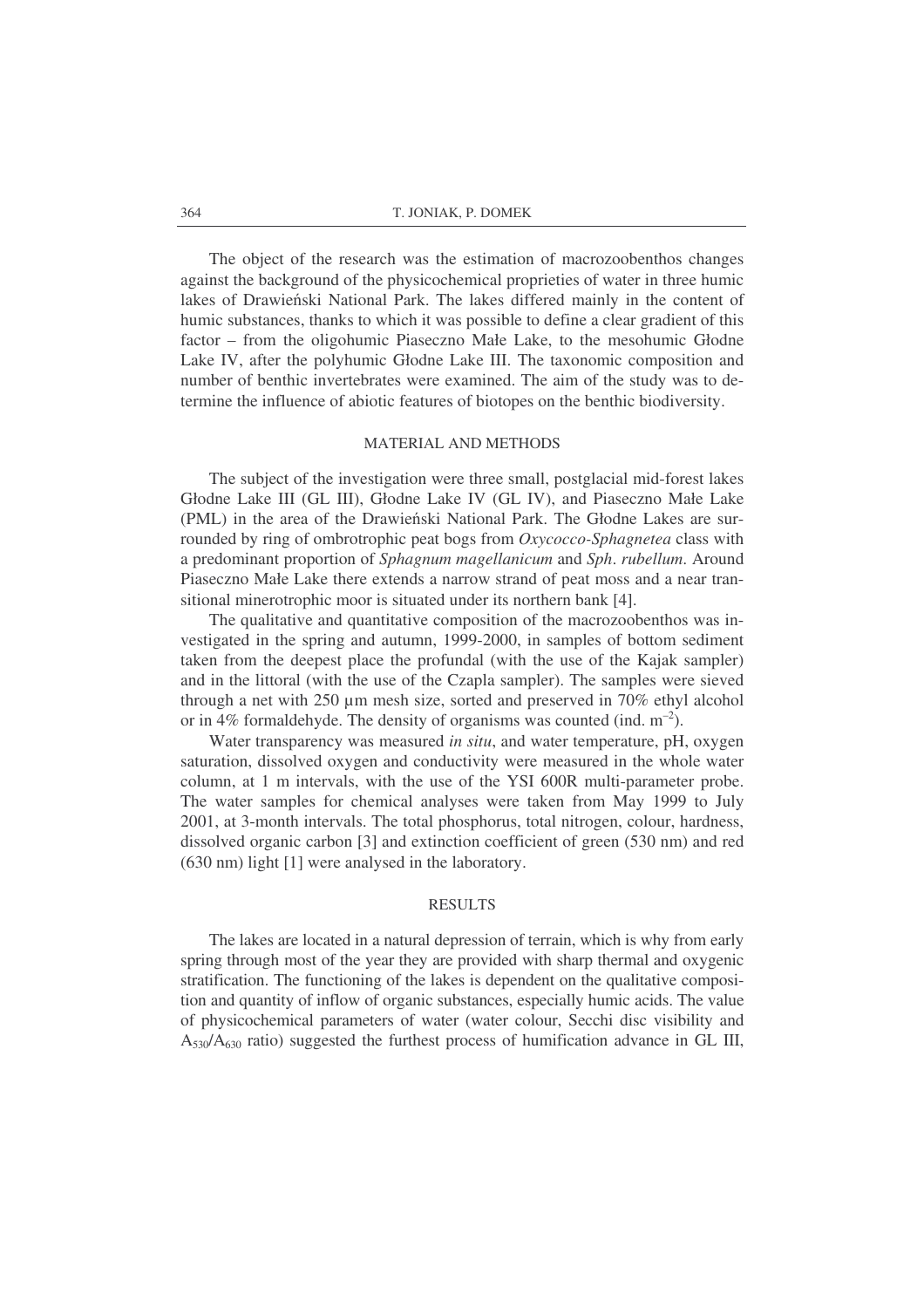The object of the research was the estimation of macrozoobenthos changes against the background of the physicochemical proprieties of water in three humic lakes of Drawieński National Park. The lakes differed mainly in the content of humic substances, thanks to which it was possible to define a clear gradient of this factor – from the oligohumic Piaseczno Małe Lake, to the mesohumic Głodne Lake IV, after the polyhumic Głodne Lake III. The taxonomic composition and number of benthic invertebrates were examined. The aim of the study was to determine the influence of abiotic features of biotopes on the benthic biodiversity.

#### MATERIAL AND METHODS

The subject of the investigation were three small, postglacial mid-forest lakes Głodne Lake III (GL III), Głodne Lake IV (GL IV), and Piaseczno Małe Lake (PML) in the area of the Drawieński National Park. The Głodne Lakes are surrounded by ring of ombrotrophic peat bogs from *Oxycocco-Sphagnetea* class with a predominant proportion of *Sphagnum magellanicum* and *Sph*. *rubellum*. Around Piaseczno Małe Lake there extends a narrow strand of peat moss and a near transitional minerotrophic moor is situated under its northern bank [4].

The qualitative and quantitative composition of the macrozoobenthos was investigated in the spring and autumn, 1999-2000, in samples of bottom sediment taken from the deepest place the profundal (with the use of the Kajak sampler) and in the littoral (with the use of the Czapla sampler). The samples were sieved through a net with 250 µm mesh size, sorted and preserved in 70% ethyl alcohol or in 4% formaldehyde. The density of organisms was counted (ind.  $m^{-2}$ ).

Water transparency was measured *in situ*, and water temperature, pH, oxygen saturation, dissolved oxygen and conductivity were measured in the whole water column, at 1 m intervals, with the use of the YSI 600R multi-parameter probe. The water samples for chemical analyses were taken from May 1999 to July 2001, at 3-month intervals. The total phosphorus, total nitrogen, colour, hardness, dissolved organic carbon [3] and extinction coefficient of green (530 nm) and red (630 nm) light [1] were analysed in the laboratory.

#### RESULTS

The lakes are located in a natural depression of terrain, which is why from early spring through most of the year they are provided with sharp thermal and oxygenic stratification. The functioning of the lakes is dependent on the qualitative composition and quantity of inflow of organic substances, especially humic acids. The value of physicochemical parameters of water (water colour, Secchi disc visibility and  $A_{530}/A_{630}$  ratio) suggested the furthest process of humification advance in GL III,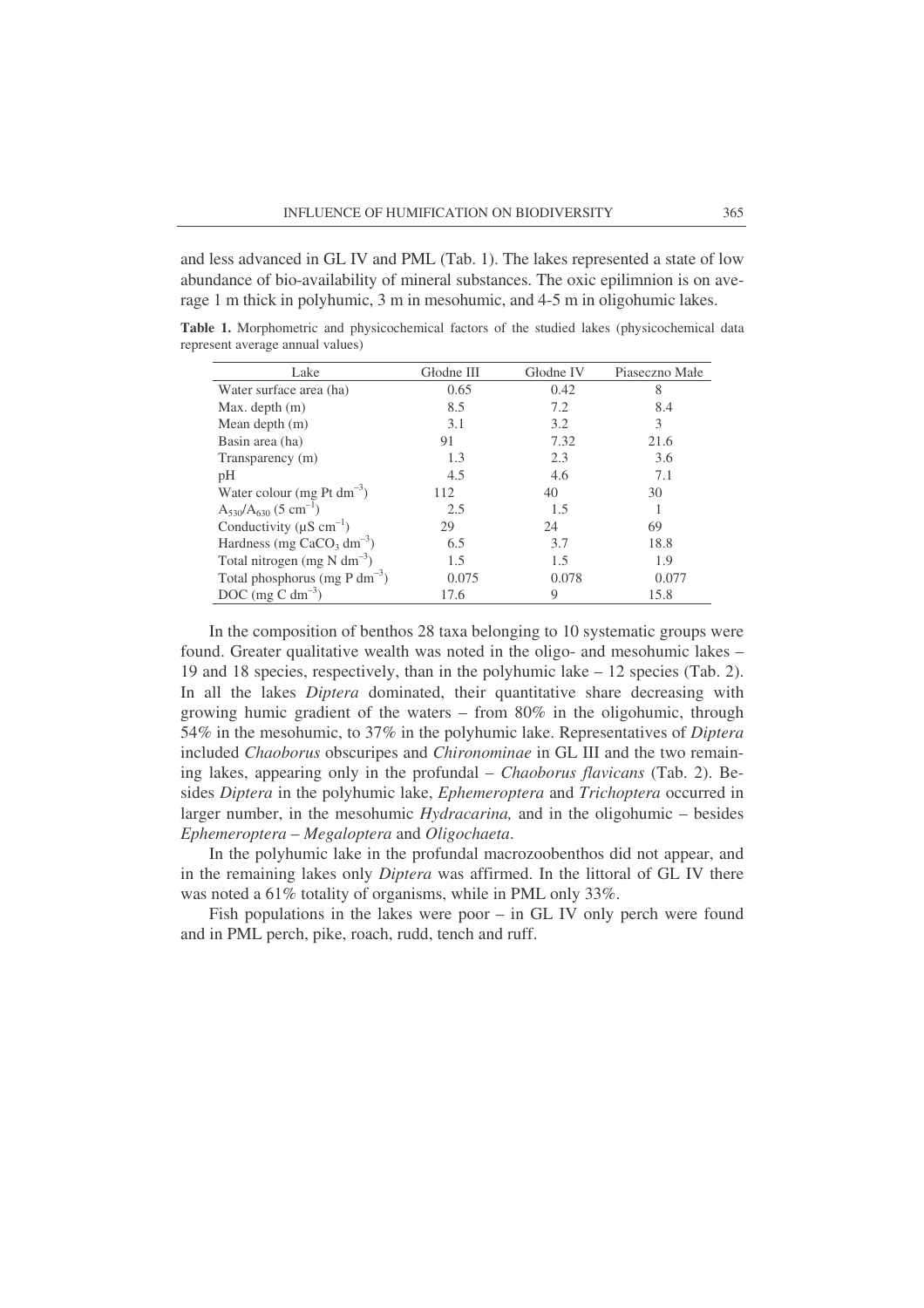and less advanced in GL IV and PML (Tab. 1). The lakes represented a state of low abundance of bio-availability of mineral substances. The oxic epilimnion is on average 1 m thick in polyhumic, 3 m in mesohumic, and 4-5 m in oligohumic lakes.

| Lake                                      | Głodne III | Głodne IV | Piaseczno Małe |  |
|-------------------------------------------|------------|-----------|----------------|--|
| Water surface area (ha)                   | 0.65       | 0.42      | 8              |  |
| Max. depth $(m)$                          | 8.5        | 7.2       | 8.4            |  |
| Mean depth $(m)$                          | 3.1        | 3.2       | 3              |  |
| Basin area (ha)                           | 91         | 7.32      | 21.6           |  |
| Transparency (m)                          | 1.3        | 2.3       | 3.6            |  |
| pH                                        | 4.5        | 4.6       | 7.1            |  |
| Water colour (mg Pt dm <sup>-3</sup> )    | 112        | 40        | 30             |  |
| $A_{530}/A_{630}$ (5 cm <sup>-1</sup> )   | 2.5        | 1.5       |                |  |
| Conductivity ( $\mu$ S cm <sup>-1</sup> ) | 29         | 24        | 69             |  |
| Hardness (mg $CaCO3 dm-3$ )               | 6.5        | 3.7       | 18.8           |  |
| Total nitrogen (mg $N dm^{-3}$ )          | 1.5        | 1.5       | 1.9            |  |
| Total phosphorus (mg P dm <sup>-3</sup> ) | 0.075      | 0.078     | 0.077          |  |
| DOC (mg C dm <sup>-3</sup> )              | 17.6       | 9         | 15.8           |  |

**Table 1.** Morphometric and physicochemical factors of the studied lakes (physicochemical data represent average annual values)

In the composition of benthos 28 taxa belonging to 10 systematic groups were found. Greater qualitative wealth was noted in the oligo- and mesohumic lakes – 19 and 18 species, respectively, than in the polyhumic lake – 12 species (Tab. 2). In all the lakes *Diptera* dominated, their quantitative share decreasing with growing humic gradient of the waters – from 80% in the oligohumic, through 54% in the mesohumic, to 37% in the polyhumic lake. Representatives of *Diptera* included *Chaoborus* obscuripes and *Chironominae* in GL III and the two remaining lakes, appearing only in the profundal – *Chaoborus flavicans* (Tab. 2). Besides *Diptera* in the polyhumic lake, *Ephemeroptera* and *Trichoptera* occurred in larger number, in the mesohumic *Hydracarina,* and in the oligohumic – besides *Ephemeroptera* – *Megaloptera* and *Oligochaeta*.

In the polyhumic lake in the profundal macrozoobenthos did not appear, and in the remaining lakes only *Diptera* was affirmed. In the littoral of GL IV there was noted a 61% totality of organisms, while in PML only 33%.

Fish populations in the lakes were poor – in GL IV only perch were found and in PML perch, pike, roach, rudd, tench and ruff.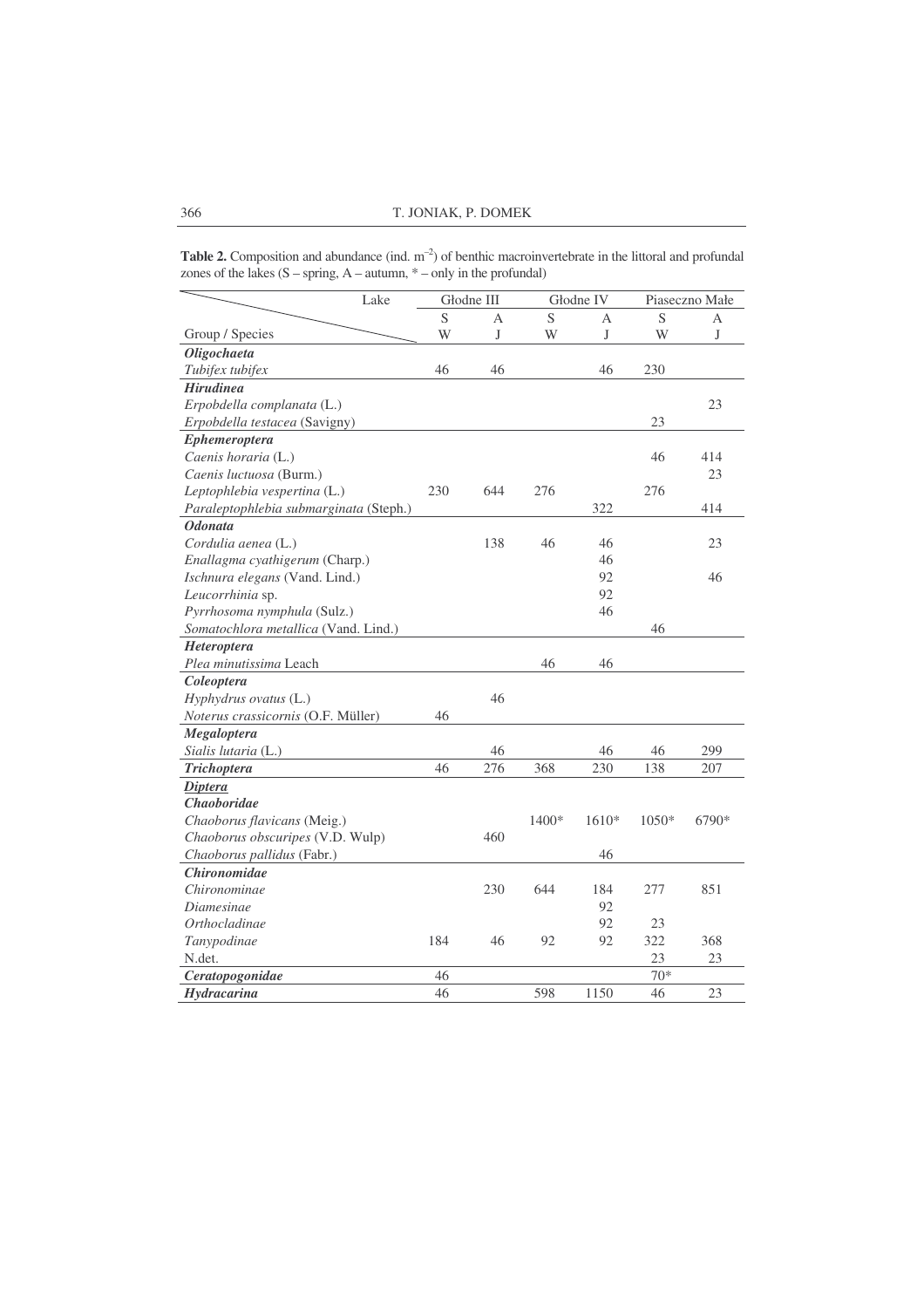**Table 2.** Composition and abundance (ind.  $m^{-2}$ ) of benthic macroinvertebrate in the littoral and profundal zones of the lakes  $(S - spring, A - autumn, * - only in the profundal)$ 

| Lake                                   |     | Głodne III |       | Głodne IV |         | Piaseczno Małe |  |
|----------------------------------------|-----|------------|-------|-----------|---------|----------------|--|
|                                        | S   | А          | S     | А         | S       | А              |  |
| Group / Species                        | W   | J          | W     | J         | W       | J              |  |
| Oligochaeta                            |     |            |       |           |         |                |  |
| Tubifex tubifex                        | 46  | 46         |       | 46        | 230     |                |  |
| <b>Hirudinea</b>                       |     |            |       |           |         |                |  |
| Erpobdella complanata (L.)             |     |            |       |           |         | 23             |  |
| Erpobdella testacea (Savigny)          |     |            |       |           | 23      |                |  |
| <b>Ephemeroptera</b>                   |     |            |       |           |         |                |  |
| Caenis horaria (L.)                    |     |            |       |           | 46      | 414            |  |
| Caenis luctuosa (Burm.)                |     |            |       |           |         | 23             |  |
| Leptophlebia vespertina (L.)           | 230 | 644        | 276   |           | 276     |                |  |
| Paraleptophlebia submarginata (Steph.) |     |            |       | 322       |         | 414            |  |
| <b>Odonata</b>                         |     |            |       |           |         |                |  |
| Cordulia aenea (L.)                    |     | 138        | 46    | 46        |         | 23             |  |
| Enallagma cyathigerum (Charp.)         |     |            |       | 46        |         |                |  |
| Ischnura elegans (Vand. Lind.)         |     |            |       | 92        |         | 46             |  |
| Leucorrhinia sp.                       |     |            |       | 92        |         |                |  |
| Pyrrhosoma nymphula (Sulz.)            |     |            |       | 46        |         |                |  |
| Somatochlora metallica (Vand. Lind.)   |     |            |       |           | 46      |                |  |
| <b>Heteroptera</b>                     |     |            |       |           |         |                |  |
| Plea minutissima Leach                 |     |            | 46    | 46        |         |                |  |
| Coleoptera                             |     |            |       |           |         |                |  |
| Hyphydrus ovatus (L.)                  |     | 46         |       |           |         |                |  |
| Noterus crassicornis (O.F. Müller)     | 46  |            |       |           |         |                |  |
| Megaloptera                            |     |            |       |           |         |                |  |
| Sialis lutaria (L.)                    |     | 46         |       | 46        | 46      | 299            |  |
| <b>Trichoptera</b>                     | 46  | 276        | 368   | 230       | 138     | 207            |  |
| <b>Diptera</b>                         |     |            |       |           |         |                |  |
| Chaoboridae                            |     |            |       |           |         |                |  |
| Chaoborus flavicans (Meig.)            |     |            | 1400* | $1610*$   | $1050*$ | 6790*          |  |
| Chaoborus obscuripes (V.D. Wulp)       |     | 460        |       |           |         |                |  |
| Chaoborus pallidus (Fabr.)             |     |            |       | 46        |         |                |  |
| <b>Chironomidae</b>                    |     |            |       |           |         |                |  |
| Chironominae                           |     | 230        | 644   | 184       | 277     | 851            |  |
| Diamesinae                             |     |            |       | 92        |         |                |  |
| Orthocladinae                          |     |            |       | 92        | 23      |                |  |
| Tanypodinae                            | 184 | 46         | 92    | 92        | 322     | 368            |  |
| N.det.                                 |     |            |       |           | 23      | 23             |  |
| Ceratopogonidae                        | 46  |            |       |           | $70*$   |                |  |
| <b>Hydracarina</b>                     | 46  |            | 598   | 1150      | 46      | 23             |  |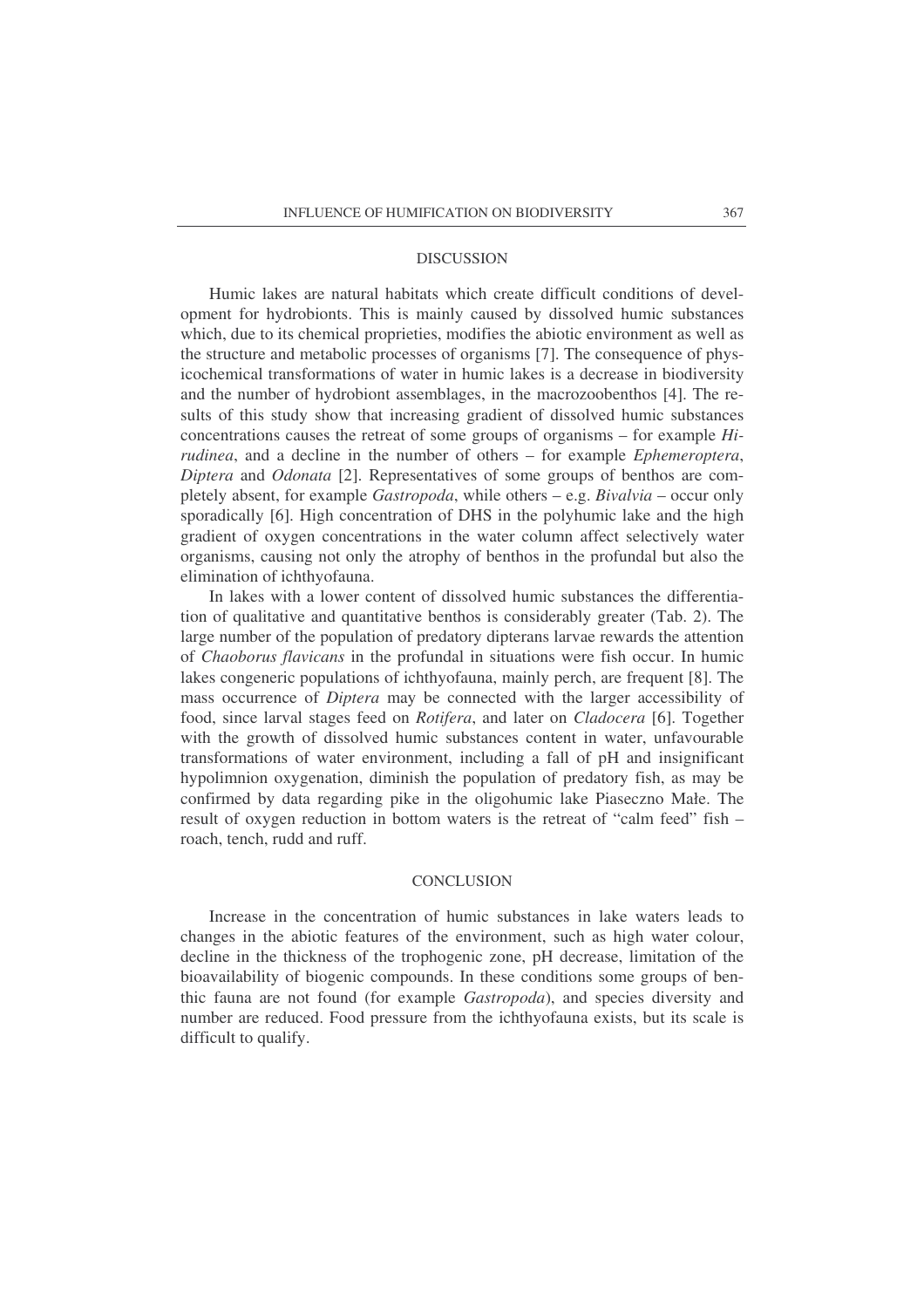#### **DISCUSSION**

Humic lakes are natural habitats which create difficult conditions of development for hydrobionts. This is mainly caused by dissolved humic substances which, due to its chemical proprieties, modifies the abiotic environment as well as the structure and metabolic processes of organisms [7]. The consequence of physicochemical transformations of water in humic lakes is a decrease in biodiversity and the number of hydrobiont assemblages, in the macrozoobenthos [4]. The results of this study show that increasing gradient of dissolved humic substances concentrations causes the retreat of some groups of organisms – for example *Hirudinea*, and a decline in the number of others – for example *Ephemeroptera*, *Diptera* and *Odonata* [2]. Representatives of some groups of benthos are completely absent, for example *Gastropoda*, while others – e.g. *Bivalvia* – occur only sporadically [6]. High concentration of DHS in the polyhumic lake and the high gradient of oxygen concentrations in the water column affect selectively water organisms, causing not only the atrophy of benthos in the profundal but also the elimination of ichthyofauna.

In lakes with a lower content of dissolved humic substances the differentiation of qualitative and quantitative benthos is considerably greater (Tab. 2). The large number of the population of predatory dipterans larvae rewards the attention of *Chaoborus flavicans* in the profundal in situations were fish occur. In humic lakes congeneric populations of ichthyofauna, mainly perch, are frequent [8]. The mass occurrence of *Diptera* may be connected with the larger accessibility of food, since larval stages feed on *Rotifera*, and later on *Cladocera* [6]. Together with the growth of dissolved humic substances content in water, unfavourable transformations of water environment, including a fall of pH and insignificant hypolimnion oxygenation, diminish the population of predatory fish, as may be confirmed by data regarding pike in the oligohumic lake Piaseczno Małe. The result of oxygen reduction in bottom waters is the retreat of "calm feed" fish – roach, tench, rudd and ruff.

### **CONCLUSION**

Increase in the concentration of humic substances in lake waters leads to changes in the abiotic features of the environment, such as high water colour, decline in the thickness of the trophogenic zone, pH decrease, limitation of the bioavailability of biogenic compounds. In these conditions some groups of benthic fauna are not found (for example *Gastropoda*), and species diversity and number are reduced. Food pressure from the ichthyofauna exists, but its scale is difficult to qualify.